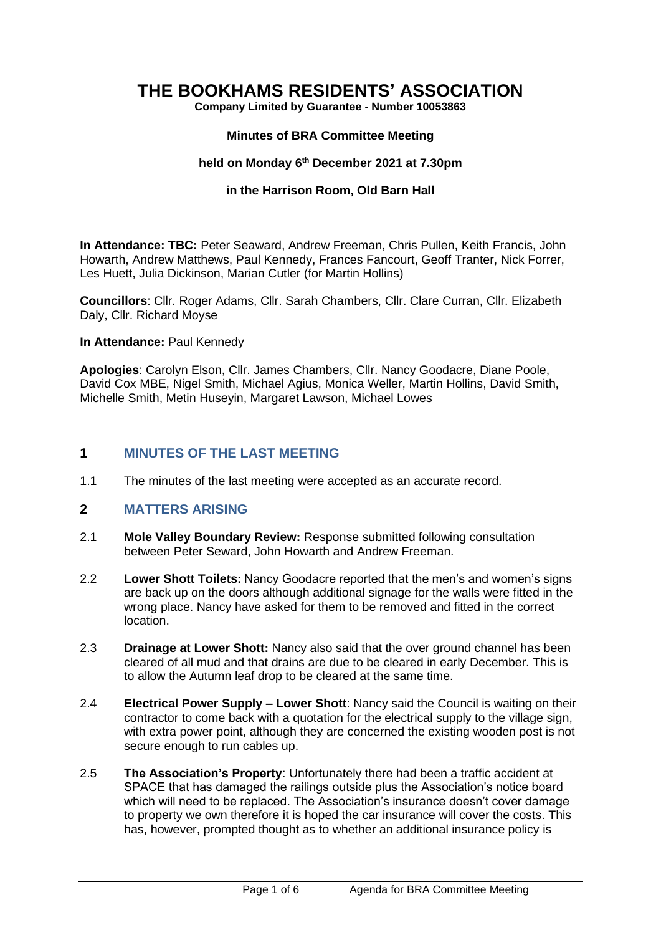# **THE BOOKHAMS RESIDENTS' ASSOCIATION**

**Company Limited by Guarantee - Number 10053863**

### **Minutes of BRA Committee Meeting**

#### **held on Monday 6 th December 2021 at 7.30pm**

#### **in the Harrison Room, Old Barn Hall**

**In Attendance: TBC:** Peter Seaward, Andrew Freeman, Chris Pullen, Keith Francis, John Howarth, Andrew Matthews, Paul Kennedy, Frances Fancourt, Geoff Tranter, Nick Forrer, Les Huett, Julia Dickinson, Marian Cutler (for Martin Hollins)

**Councillors**: Cllr. Roger Adams, Cllr. Sarah Chambers, Cllr. Clare Curran, Cllr. Elizabeth Daly, Cllr. Richard Moyse

#### **In Attendance:** Paul Kennedy

**Apologies**: Carolyn Elson, Cllr. James Chambers, Cllr. Nancy Goodacre, Diane Poole, David Cox MBE, Nigel Smith, Michael Agius, Monica Weller, Martin Hollins, David Smith, Michelle Smith, Metin Huseyin, Margaret Lawson, Michael Lowes

### **1 MINUTES OF THE LAST MEETING**

1.1 The minutes of the last meeting were accepted as an accurate record.

### **2 MATTERS ARISING**

- 2.1 **Mole Valley Boundary Review:** Response submitted following consultation between Peter Seward, John Howarth and Andrew Freeman.
- 2.2 **Lower Shott Toilets:** Nancy Goodacre reported that the men's and women's signs are back up on the doors although additional signage for the walls were fitted in the wrong place. Nancy have asked for them to be removed and fitted in the correct location.
- 2.3 **Drainage at Lower Shott:** Nancy also said that the over ground channel has been cleared of all mud and that drains are due to be cleared in early December. This is to allow the Autumn leaf drop to be cleared at the same time.
- 2.4 **Electrical Power Supply – Lower Shott**: Nancy said the Council is waiting on their contractor to come back with a quotation for the electrical supply to the village sign, with extra power point, although they are concerned the existing wooden post is not secure enough to run cables up.
- 2.5 **The Association's Property**: Unfortunately there had been a traffic accident at SPACE that has damaged the railings outside plus the Association's notice board which will need to be replaced. The Association's insurance doesn't cover damage to property we own therefore it is hoped the car insurance will cover the costs. This has, however, prompted thought as to whether an additional insurance policy is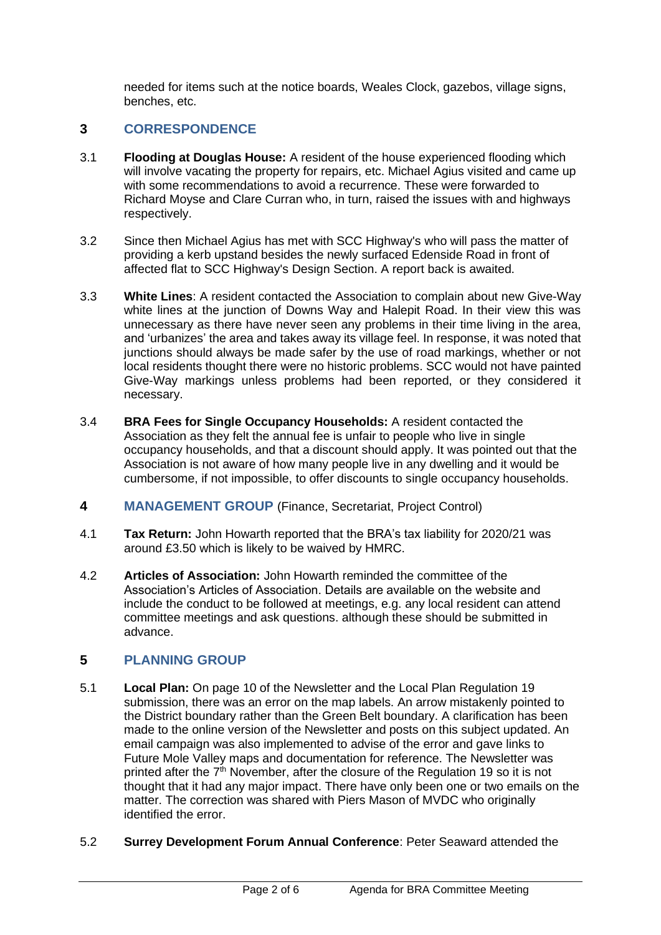needed for items such at the notice boards, Weales Clock, gazebos, village signs, benches, etc.

# **3 CORRESPONDENCE**

- 3.1 **Flooding at Douglas House:** A resident of the house experienced flooding which will involve vacating the property for repairs, etc. Michael Agius visited and came up with some recommendations to avoid a recurrence. These were forwarded to Richard Moyse and Clare Curran who, in turn, raised the issues with and highways respectively.
- 3.2 Since then Michael Agius has met with SCC Highway's who will pass the matter of providing a kerb upstand besides the newly surfaced Edenside Road in front of affected flat to SCC Highway's Design Section. A report back is awaited.
- 3.3 **White Lines**: A resident contacted the Association to complain about new Give-Way white lines at the junction of Downs Way and Halepit Road. In their view this was unnecessary as there have never seen any problems in their time living in the area, and 'urbanizes' the area and takes away its village feel. In response, it was noted that junctions should always be made safer by the use of road markings, whether or not local residents thought there were no historic problems. SCC would not have painted Give-Way markings unless problems had been reported, or they considered it necessary.
- 3.4 **BRA Fees for Single Occupancy Households:** A resident contacted the Association as they felt the annual fee is unfair to people who live in single occupancy households, and that a discount should apply. It was pointed out that the Association is not aware of how many people live in any dwelling and it would be cumbersome, if not impossible, to offer discounts to single occupancy households.
- **4 MANAGEMENT GROUP** (Finance, Secretariat, Project Control)
- 4.1 **Tax Return:** John Howarth reported that the BRA's tax liability for 2020/21 was around £3.50 which is likely to be waived by HMRC.
- 4.2 **Articles of Association:** John Howarth reminded the committee of the Association's Articles of Association. Details are available on the website and include the conduct to be followed at meetings, e.g. any local resident can attend committee meetings and ask questions. although these should be submitted in advance.

# **5 PLANNING GROUP**

- 5.1 **Local Plan:** On page 10 of the Newsletter and the Local Plan Regulation 19 submission, there was an error on the map labels. An arrow mistakenly pointed to the District boundary rather than the Green Belt boundary. A clarification has been made to the online version of the Newsletter and posts on this subject updated. An email campaign was also implemented to advise of the error and gave links to Future Mole Valley maps and documentation for reference. The Newsletter was printed after the  $7<sup>th</sup>$  November, after the closure of the Regulation 19 so it is not thought that it had any major impact. There have only been one or two emails on the matter. The correction was shared with Piers Mason of MVDC who originally identified the error.
- 5.2 **Surrey Development Forum Annual Conference**: Peter Seaward attended the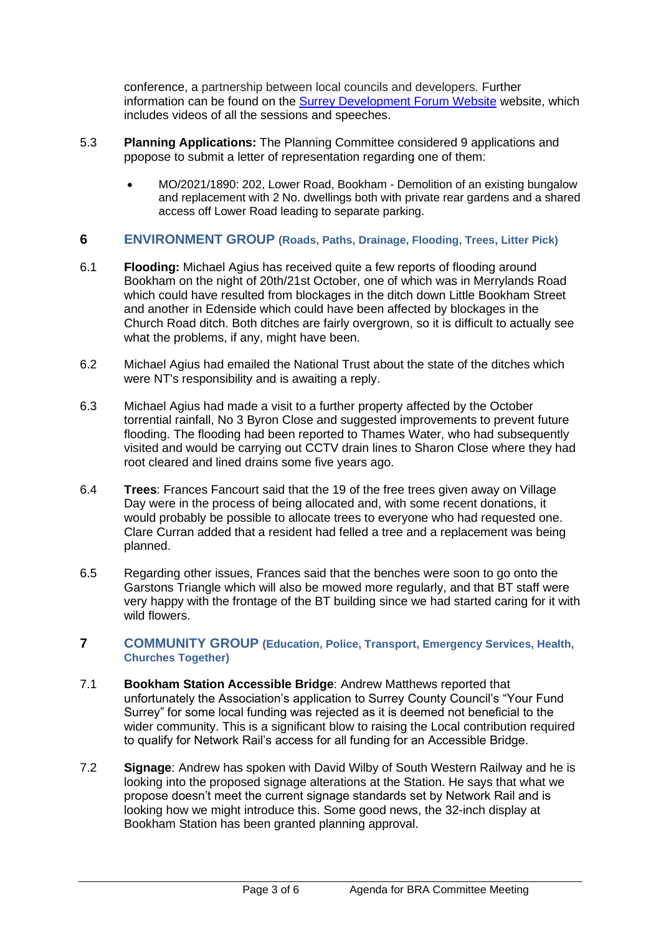conference, a partnership between local councils and developers. Further information can be found on the **Surrey Development Forum Website website**, which includes videos of all the sessions and speeches.

- 5.3 **Planning Applications:** The Planning Committee considered 9 applications and ppopose to submit a letter of representation regarding one of them:
	- MO/2021/1890: 202, Lower Road, Bookham Demolition of an existing bungalow and replacement with 2 No. dwellings both with private rear gardens and a shared access off Lower Road leading to separate parking.

### **6 ENVIRONMENT GROUP (Roads, Paths, Drainage, Flooding, Trees, Litter Pick)**

- 6.1 **Flooding:** Michael Agius has received quite a few reports of flooding around Bookham on the night of 20th/21st October, one of which was in Merrylands Road which could have resulted from blockages in the ditch down Little Bookham Street and another in Edenside which could have been affected by blockages in the Church Road ditch. Both ditches are fairly overgrown, so it is difficult to actually see what the problems, if any, might have been.
- 6.2 Michael Agius had emailed the National Trust about the state of the ditches which were NT's responsibility and is awaiting a reply.
- 6.3 Michael Agius had made a visit to a further property affected by the October torrential rainfall, No 3 Byron Close and suggested improvements to prevent future flooding. The flooding had been reported to Thames Water, who had subsequently visited and would be carrying out CCTV drain lines to Sharon Close where they had root cleared and lined drains some five years ago.
- 6.4 **Trees**: Frances Fancourt said that the 19 of the free trees given away on Village Day were in the process of being allocated and, with some recent donations, it would probably be possible to allocate trees to everyone who had requested one. Clare Curran added that a resident had felled a tree and a replacement was being planned.
- 6.5 Regarding other issues, Frances said that the benches were soon to go onto the Garstons Triangle which will also be mowed more regularly, and that BT staff were very happy with the frontage of the BT building since we had started caring for it with wild flowers.
- **7 COMMUNITY GROUP (Education, Police, Transport, Emergency Services, Health, Churches Together)**
- 7.1 **Bookham Station Accessible Bridge**: Andrew Matthews reported that unfortunately the Association's application to Surrey County Council's "Your Fund Surrey" for some local funding was rejected as it is deemed not beneficial to the wider community. This is a significant blow to raising the Local contribution required to qualify for Network Rail's access for all funding for an Accessible Bridge.
- 7.2 **Signage**: Andrew has spoken with David Wilby of South Western Railway and he is looking into the proposed signage alterations at the Station. He says that what we propose doesn't meet the current signage standards set by Network Rail and is looking how we might introduce this. Some good news, the 32-inch display at Bookham Station has been granted planning approval.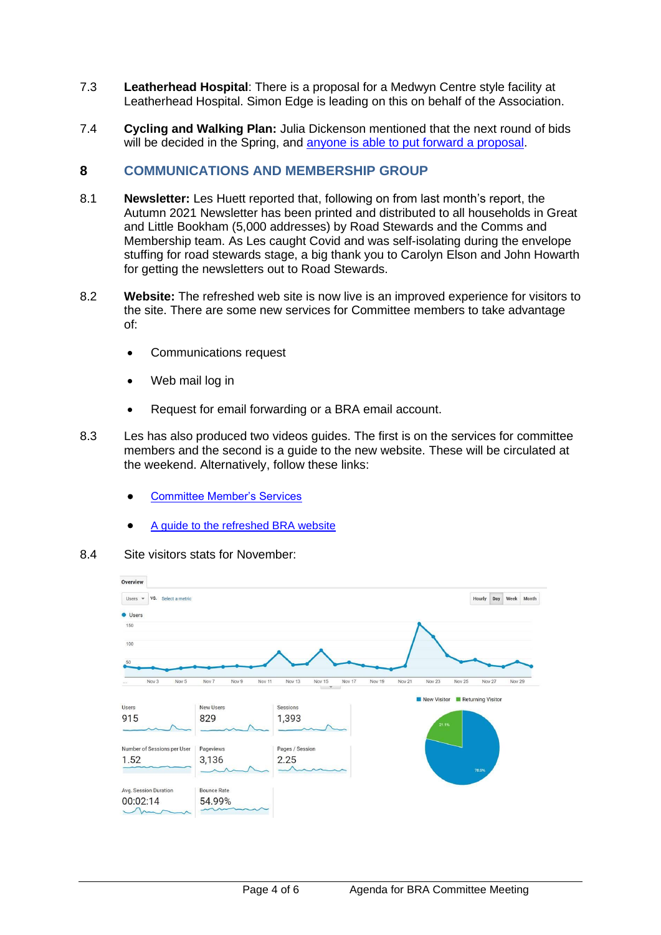- 7.3 **Leatherhead Hospital**: There is a proposal for a Medwyn Centre style facility at Leatherhead Hospital. Simon Edge is leading on this on behalf of the Association.
- 7.4 **Cycling and Walking Plan:** Julia Dickenson mentioned that the next round of bids will be decided in the Spring, and [anyone is able to put forward a proposal.](https://surreylcwip.commonplace.is/)

### **8 COMMUNICATIONS AND MEMBERSHIP GROUP**

- 8.1 **Newsletter:** Les Huett reported that, following on from last month's report, the Autumn 2021 Newsletter has been printed and distributed to all households in Great and Little Bookham (5,000 addresses) by Road Stewards and the Comms and Membership team. As Les caught Covid and was self-isolating during the envelope stuffing for road stewards stage, a big thank you to Carolyn Elson and John Howarth for getting the newsletters out to Road Stewards.
- 8.2 **Website:** The refreshed web site is now live is an improved experience for visitors to the site. There are some new services for Committee members to take advantage of:
	- Communications request
	- Web mail log in
	- Request for email forwarding or a BRA email account.
- 8.3 Les has also produced two videos guides. The first is on the services for committee members and the second is a guide to the new website. These will be circulated at the weekend. Alternatively, follow these links:
	- [Committee Member's Services](https://vimeo.com/652529689/0d87799860)
	- [A guide to the refreshed BRA website](https://vimeo.com/655681837/16c0c46a5d)
- 8.4 Site visitors stats for November:

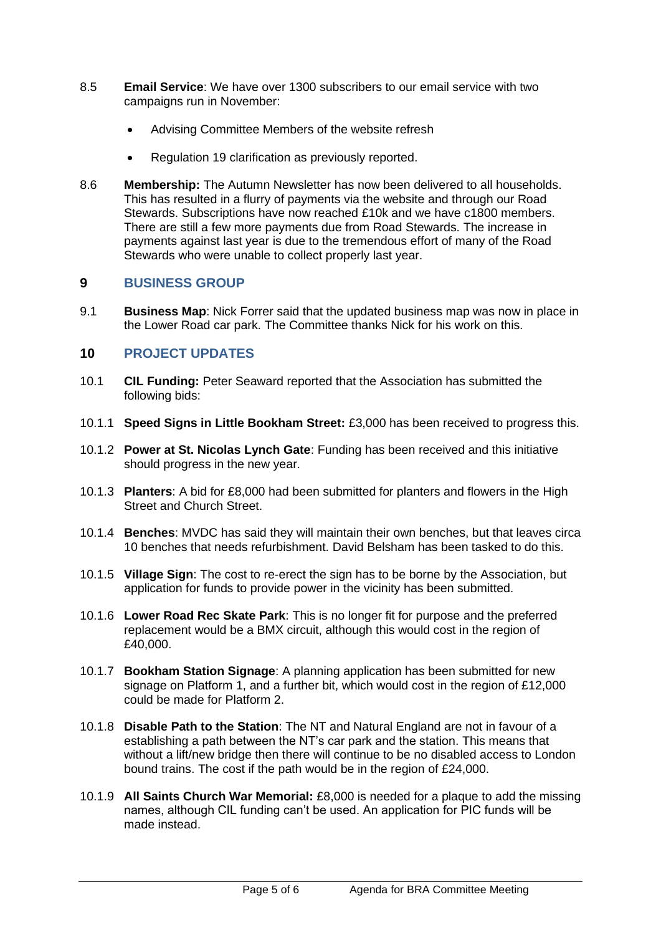- 8.5 **Email Service**: We have over 1300 subscribers to our email service with two campaigns run in November:
	- Advising Committee Members of the website refresh
	- Regulation 19 clarification as previously reported.
- 8.6 **Membership:** The Autumn Newsletter has now been delivered to all households. This has resulted in a flurry of payments via the website and through our Road Stewards. Subscriptions have now reached £10k and we have c1800 members. There are still a few more payments due from Road Stewards. The increase in payments against last year is due to the tremendous effort of many of the Road Stewards who were unable to collect properly last year.

### **9 BUSINESS GROUP**

9.1 **Business Map**: Nick Forrer said that the updated business map was now in place in the Lower Road car park. The Committee thanks Nick for his work on this.

## **10 PROJECT UPDATES**

- 10.1 **CIL Funding:** Peter Seaward reported that the Association has submitted the following bids:
- 10.1.1 **Speed Signs in Little Bookham Street:** £3,000 has been received to progress this.
- 10.1.2 **Power at St. Nicolas Lynch Gate**: Funding has been received and this initiative should progress in the new year.
- 10.1.3 **Planters**: A bid for £8,000 had been submitted for planters and flowers in the High Street and Church Street.
- 10.1.4 **Benches**: MVDC has said they will maintain their own benches, but that leaves circa 10 benches that needs refurbishment. David Belsham has been tasked to do this.
- 10.1.5 **Village Sign**: The cost to re-erect the sign has to be borne by the Association, but application for funds to provide power in the vicinity has been submitted.
- 10.1.6 **Lower Road Rec Skate Park**: This is no longer fit for purpose and the preferred replacement would be a BMX circuit, although this would cost in the region of £40,000.
- 10.1.7 **Bookham Station Signage**: A planning application has been submitted for new signage on Platform 1, and a further bit, which would cost in the region of £12,000 could be made for Platform 2.
- 10.1.8 **Disable Path to the Station**: The NT and Natural England are not in favour of a establishing a path between the NT's car park and the station. This means that without a lift/new bridge then there will continue to be no disabled access to London bound trains. The cost if the path would be in the region of £24,000.
- 10.1.9 **All Saints Church War Memorial:** £8,000 is needed for a plaque to add the missing names, although CIL funding can't be used. An application for PIC funds will be made instead.